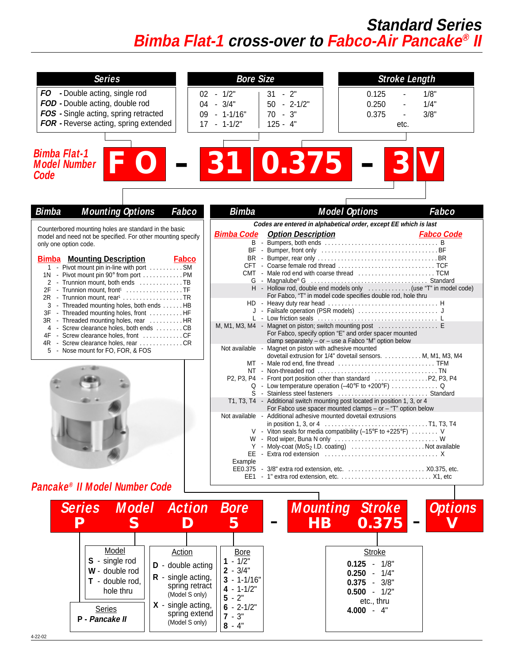## **Standard Series Bimba Flat-1 cross-over to Fabco-Air Pancake® II**

| <b>Series</b>                                                                          | <b>Bore Size</b>                            |                                                        | <b>Stroke Length</b>                                                                                                             |  |
|----------------------------------------------------------------------------------------|---------------------------------------------|--------------------------------------------------------|----------------------------------------------------------------------------------------------------------------------------------|--|
| FO - Double acting, single rod                                                         | $02 - 1/2"$                                 | $31 - 2$ "                                             | 0.125<br>1/8"                                                                                                                    |  |
| FOD - Double acting, double rod                                                        | 04 - 3/4"                                   | $50 - 2 - 1/2$ "                                       | 1/4"<br>0.250                                                                                                                    |  |
| FOS - Single acting, spring retracted                                                  | 09 - 1-1/16"                                | $70 - 3"$                                              | 3/8"<br>0.375                                                                                                                    |  |
| FOR - Reverse acting, spring extended                                                  | $17 - 1 - 1/2$                              | $125 - 4"$                                             | etc.                                                                                                                             |  |
|                                                                                        |                                             |                                                        |                                                                                                                                  |  |
|                                                                                        |                                             |                                                        |                                                                                                                                  |  |
| <b>Bimba Flat-1</b>                                                                    |                                             |                                                        |                                                                                                                                  |  |
| <b>Model Number</b>                                                                    |                                             | 0.375                                                  |                                                                                                                                  |  |
| Code                                                                                   |                                             |                                                        |                                                                                                                                  |  |
|                                                                                        |                                             |                                                        |                                                                                                                                  |  |
|                                                                                        |                                             |                                                        |                                                                                                                                  |  |
| <b>Mounting Options</b><br>Fabco<br><b>Bimba</b>                                       | <b>Bimba</b>                                |                                                        | <b>Model Options</b><br>Fabco                                                                                                    |  |
|                                                                                        |                                             |                                                        | Codes are entered in alphabetical order, except EE which is last                                                                 |  |
| Counterbored mounting holes are standard in the basic                                  |                                             | <b>Bimba Code</b> Option Description                   | <b>Fabco Code</b>                                                                                                                |  |
| model and need not be specified. For other mounting specify<br>only one option code.   |                                             |                                                        |                                                                                                                                  |  |
|                                                                                        |                                             |                                                        |                                                                                                                                  |  |
| <b>Bimba</b> Mounting Description<br><b>Fabco</b>                                      |                                             |                                                        |                                                                                                                                  |  |
| 1 - Pivot mount pin in-line with port SM<br>1N - Pivot mount pin 90° from port PM      |                                             |                                                        |                                                                                                                                  |  |
| 2 - Trunnion mount, both ends TB                                                       |                                             |                                                        |                                                                                                                                  |  |
| 2F - Trunnion mount, front1 TF                                                         |                                             |                                                        | H - Hollow rod, double end models only (use "T" in model code)<br>For Fabco, "T" in model code specifies double rod, hole thru   |  |
| 2R - Trunnion mount, rear <sup>1</sup> TR<br>3 - Threaded mounting holes, both ends HB |                                             |                                                        |                                                                                                                                  |  |
| 3F - Threaded mounting holes, front HF                                                 |                                             |                                                        |                                                                                                                                  |  |
| 3R - Threaded mounting holes, rear HR                                                  |                                             |                                                        | M, M1, M3, M4 - Magnet on piston; switch mounting post                                                                           |  |
| 4 - Screw clearance holes, both ends CB<br>4F - Screw clearance holes, front CF        |                                             |                                                        | For Fabco, specify option "E" and order spacer mounted                                                                           |  |
| 4R - Screw clearance holes, rear CR                                                    |                                             |                                                        | clamp separately - or - use a Fabco "M" option below                                                                             |  |
| 5 - Nose mount for FO, FOR, & FOS                                                      |                                             | Not available - Magnet on piston with adhesive mounted | dovetail extrusion for 1/4" dovetail sensors. M, M1, M3, M4                                                                      |  |
|                                                                                        |                                             |                                                        |                                                                                                                                  |  |
|                                                                                        |                                             |                                                        |                                                                                                                                  |  |
|                                                                                        |                                             |                                                        | Q - Low temperature operation (-40°F to +200°F)  Q                                                                               |  |
|                                                                                        |                                             |                                                        |                                                                                                                                  |  |
|                                                                                        |                                             |                                                        | T1, T3, T4 - Additional switch mounting post located in position 1, 3, or 4                                                      |  |
|                                                                                        |                                             |                                                        | For Fabco use spacer mounted clamps – or $-$ "T" option below<br>Not available - Additional adhesive mounted dovetail extrusions |  |
|                                                                                        |                                             |                                                        |                                                                                                                                  |  |
|                                                                                        |                                             |                                                        | V - Viton seals for media compatibility (-15°F to +225°F)  V                                                                     |  |
|                                                                                        |                                             |                                                        | Y - Moly-coat (MoS <sub>2</sub> I.D. coating) Not available                                                                      |  |
|                                                                                        |                                             |                                                        |                                                                                                                                  |  |
|                                                                                        | Example                                     |                                                        | EE0.375 - 3/8" extra rod extension, etc.  X0.375, etc.                                                                           |  |
|                                                                                        |                                             |                                                        |                                                                                                                                  |  |
| Pancake® II Model Number Code                                                          |                                             |                                                        |                                                                                                                                  |  |
|                                                                                        |                                             |                                                        |                                                                                                                                  |  |
| <b>Action</b><br><b>Series</b><br><b>Model</b>                                         | <b>Bore</b>                                 |                                                        | <b>Mounting Stroke</b><br><b>Options</b>                                                                                         |  |
|                                                                                        |                                             |                                                        |                                                                                                                                  |  |
| S<br>Р<br>D                                                                            | 5                                           | <b>HB</b>                                              | 0.375                                                                                                                            |  |
|                                                                                        |                                             |                                                        |                                                                                                                                  |  |
| Model<br><b>Action</b>                                                                 | <b>Bore</b>                                 |                                                        | <b>Stroke</b>                                                                                                                    |  |
| S - single rod<br>D - double acting                                                    | $1 - 1/2"$                                  |                                                        | $0.125 - 1/8$                                                                                                                    |  |
| W - double rod                                                                         | $2 - 3/4"$                                  |                                                        | $0.250 -$<br>1/4"                                                                                                                |  |
| $R -$ single acting,<br>$T -$ double rod,                                              | $3 - 1 - 1/16$                              |                                                        | $0.375 -$<br>3/8"                                                                                                                |  |
| spring retract<br>hole thru<br>(Model S only)                                          | $4 - 1 - 1/2"$                              |                                                        | $0.500 - 1/2"$                                                                                                                   |  |
| $X -$ single acting,                                                                   | $5 - 2"$                                    |                                                        | etc., thru                                                                                                                       |  |
| <b>Series</b>                                                                          | $6 - 2 - 1/2"$<br>spring extend<br>$7 - 3"$ |                                                        | $4.000 - 4"$                                                                                                                     |  |
| P - Pancake II<br>(Model S only)                                                       | $8 - 4"$                                    |                                                        |                                                                                                                                  |  |
|                                                                                        |                                             |                                                        |                                                                                                                                  |  |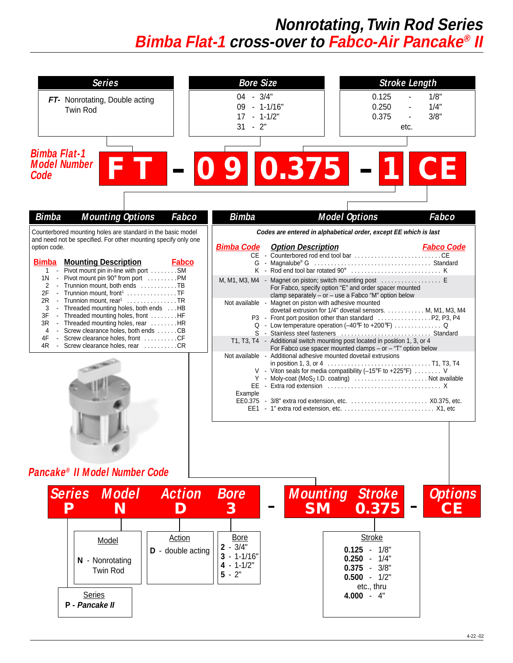# **Nonrotating, Twin Rod Series Bimba Flat-1 cross-over to Fabco-Air Pancake® II**

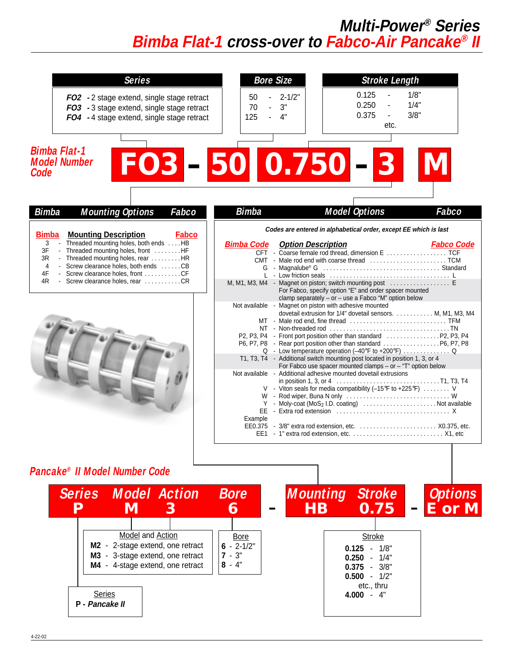### **Multi-Power® Series Bimba Flat-1 cross-over to Fabco-Air Pancake® II**

| <b>Series</b>                                                                                                                                                                                                                                                                                                                            | <b>Stroke Length</b><br><b>Bore Size</b>                                                                                                                                                                                                                                                                                                                                                                                                                                                                                                                                                                                                                                                                                                                                                                                                                                                                                        |
|------------------------------------------------------------------------------------------------------------------------------------------------------------------------------------------------------------------------------------------------------------------------------------------------------------------------------------------|---------------------------------------------------------------------------------------------------------------------------------------------------------------------------------------------------------------------------------------------------------------------------------------------------------------------------------------------------------------------------------------------------------------------------------------------------------------------------------------------------------------------------------------------------------------------------------------------------------------------------------------------------------------------------------------------------------------------------------------------------------------------------------------------------------------------------------------------------------------------------------------------------------------------------------|
| FO2 - 2 stage extend, single stage retract<br>FO3 - 3 stage extend, single stage retract<br>FO4 - 4 stage extend, single stage retract                                                                                                                                                                                                   | 1/8"<br>0.125<br>$2 - 1/2"$<br>50<br>0.250<br>1/4"<br>3"<br>70<br>$\mathbf{r}$<br>0.375<br>3/8"<br>$\blacksquare$<br>125<br>4"<br>$\mathbf{r}$<br>etc.                                                                                                                                                                                                                                                                                                                                                                                                                                                                                                                                                                                                                                                                                                                                                                          |
| <b>Bimba Flat-1</b><br><b>Model Number</b><br>Code                                                                                                                                                                                                                                                                                       | FO3-50 0.750-                                                                                                                                                                                                                                                                                                                                                                                                                                                                                                                                                                                                                                                                                                                                                                                                                                                                                                                   |
| <b>Bimba</b><br><b>Mounting Options</b><br>Fabco                                                                                                                                                                                                                                                                                         | <b>Bimba</b><br><b>Model Options</b><br>Fabco                                                                                                                                                                                                                                                                                                                                                                                                                                                                                                                                                                                                                                                                                                                                                                                                                                                                                   |
| <b>Bimba</b><br><b>Mounting Description</b><br><b>Fabco</b><br>- Threaded mounting holes, both ends  HB<br>3<br>- Threaded mounting holes, front HF<br>3F<br>3R<br>- Threaded mounting holes, rear HR<br>4<br>- Screw clearance holes, both ends CB<br>4F<br>- Screw clearance holes, front CF<br>4R<br>- Screw clearance holes, rear CR | Codes are entered in alphabetical order, except EE which is last<br><b>Bimba Code</b><br><b>Option Description</b><br><b>Fabco Code</b><br>M, M1, M3, M4 - Magnet on piston; switch mounting post<br>For Fabco, specify option "E" and order spacer mounted<br>clamp separately $-$ or $-$ use a Fabco "M" option below<br>Not available - Magnet on piston with adhesive mounted<br>dovetail extrusion for 1/4" dovetail sensors.  M, M1, M3, M4<br>Q - Low temperature operation (-40°F to +200°F)  Q<br>T1, T3, T4 - Additional switch mounting post located in position 1, 3, or 4<br>For Fabco use spacer mounted clamps – or $-$ "T" option below<br>Not available - Additional adhesive mounted dovetail extrusions<br>V - Viton seals for media compatibility (-15°F to +225°F)  V<br>Y - Moly-coat (MoS <sub>2</sub> I.D. coating)  Not available<br>Example<br>EE0.375 - 3/8" extra rod extension, etc.  X0.375, etc. |
| Pancake® II Model Number Code<br><b>Series Model Action</b><br>M<br>D<br>З<br>Model and Action<br>M2 - 2-stage extend, one retract<br>M3 - 3-stage extend, one retract<br>M4 - 4-stage extend, one retract<br><b>Series</b><br>P - Pancake II                                                                                            | <b>Mounting Stroke</b><br><b>Bore</b><br><b>Options</b><br>0.75<br><b>HB</b><br>E or M<br>6<br><b>Bore</b><br><b>Stroke</b><br>$6 - 2 - 1/2$ "<br>$0.125 -$<br>1/8"<br>$7 - 3"$<br>$0.250 - 1/4$ "<br>$8 - 4"$<br>$0.375 - 3/8$ "<br>$0.500 - 1/2"$<br>etc., thru<br>$4.000 - 4"$                                                                                                                                                                                                                                                                                                                                                                                                                                                                                                                                                                                                                                               |